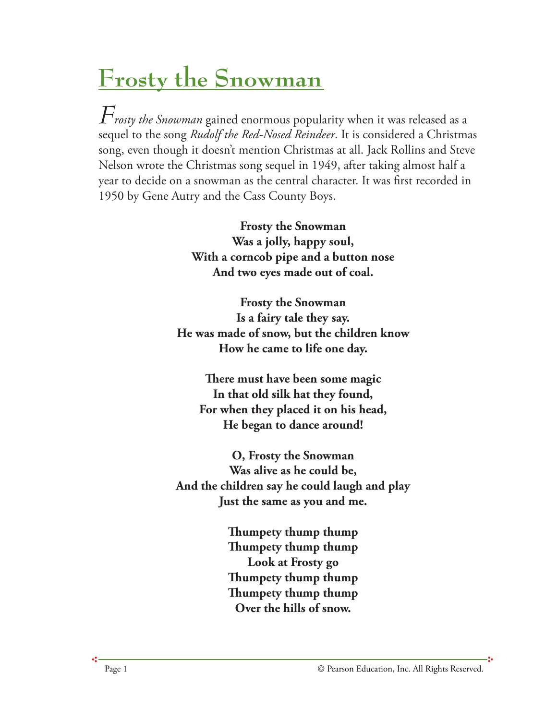## **Frosty the Snowman**

*Frosty the Snowman* gained enormous popularity when it was released as a sequel to the song *Rudolf the Red-Nosed Reindeer*. It is considered a Christmas song, even though it doesn't mention Christmas at all. Jack Rollins and Steve Nelson wrote the Christmas song sequel in 1949, after taking almost half a year to decide on a snowman as the central character. It was first recorded in 1950 by Gene Autry and the Cass County Boys.

> **Frosty the Snowman Was a jolly, happy soul, With a corncob pipe and a button nose And two eyes made out of coal.**

**Frosty the Snowman Is a fairy tale they say. He was made of snow, but the children know How he came to life one day.**

**ere must have been some magic In that old silk hat they found, For when they placed it on his head, He began to dance around!**

**O, Frosty the Snowman Was alive as he could be, And the children say he could laugh and play Just the same as you and me.**

> **umpety thump thump umpety thump thump Look at Frosty go umpety thump thump umpety thump thump Over the hills of snow.**